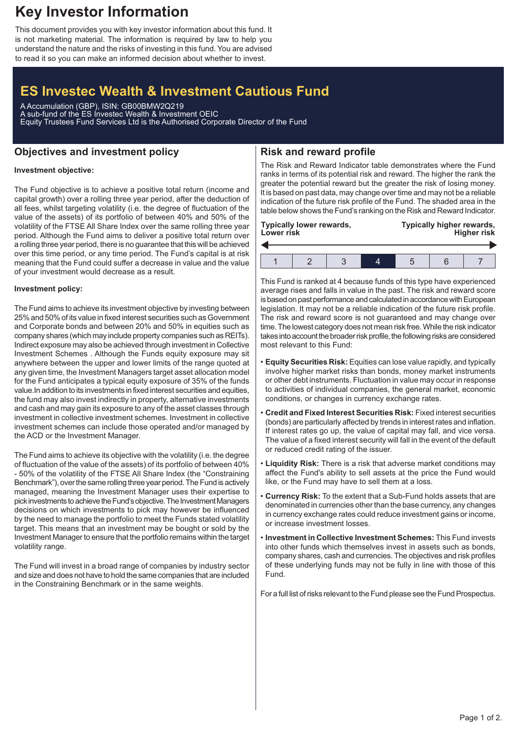## **Key Investor Information**

This document provides you with key investor information about this fund. It is not marketing material. The information is required by law to help you understand the nature and the risks of investing in this fund. You are advised to read it so you can make an informed decision about whether to invest.

# **ES Investec Wealth & Investment Cautious Fund**

A Accumulation (GBP), ISIN: GB00BMW2Q219 A sub-fund of the ES Investec Wealth & Investment OEIC Equity Trustees Fund Services Ltd is the Authorised Corporate Director of the Fund

### **Objectives and investment policy**

## **Risk and reward profile**

### **Investment objective:**

The Fund objective is to achieve a positive total return (income and capital growth) over a rolling three year period, after the deduction of all fees, whilst targeting volatility (i.e. the degree of fluctuation of the value of the assets) of its portfolio of between 40% and 50% of the volatility of the FTSE All Share Index over the same rolling three year period. Although the Fund aims to deliver a positive total return over a rolling three year period, there is no guarantee that this will be achieved over this time period, or any time period. The Fund's capital is at risk meaning that the Fund could suffer a decrease in value and the value of your investment would decrease as a result.

#### **Investment policy:**

The Fund aims to achieve its investment objective by investing between 25% and 50% of its value in fixed interest securities such as Government and Corporate bonds and between 20% and 50% in equities such as company shares (which may include property companies such as REITs). Indirect exposure may also be achieved through investment in Collective Investment Schemes . Although the Funds equity exposure may sit anywhere between the upper and lower limits of the range quoted at any given time, the Investment Managers target asset allocation model for the Fund anticipates a typical equity exposure of 35% of the funds value.In addition to its investments in fixed interest securities and equities, the fund may also invest indirectly in property, alternative investments and cash and may gain its exposure to any of the asset classes through investment in collective investment schemes. Investment in collective investment schemes can include those operated and/or managed by the ACD or the Investment Manager.

The Fund aims to achieve its objective with the volatility (i.e. the degree of fluctuation of the value of the assets) of its portfolio of between 40% - 50% of the volatility of the FTSE All Share Index (the "Constraining Benchmark"), over the same rolling three year period. The Fund is actively managed, meaning the Investment Manager uses their expertise to pick investments to achieve the Fund's objective. The Investment Managers decisions on which investments to pick may however be influenced by the need to manage the portfolio to meet the Funds stated volatility target. This means that an investment may be bought or sold by the Investment Manager to ensure that the portfolio remains within the target volatility range.

The Fund will invest in a broad range of companies by industry sector and size and does not have to hold the same companies that are included in the Constraining Benchmark or in the same weights.

The Risk and Reward Indicator table demonstrates where the Fund ranks in terms of its potential risk and reward. The higher the rank the greater the potential reward but the greater the risk of losing money. It is based on past data, may change over time and may not be a reliable indication of the future risk profile of the Fund. The shaded area in the table below shows the Fund's ranking on the Risk and Reward Indicator.

| Typically lower rewards,<br><b>Lower risk</b> |  |  |  | Typically higher rewards,<br><b>Higher risk</b> |  |  |
|-----------------------------------------------|--|--|--|-------------------------------------------------|--|--|
|                                               |  |  |  |                                                 |  |  |
|                                               |  |  |  |                                                 |  |  |

This Fund is ranked at 4 because funds of this type have experienced average rises and falls in value in the past. The risk and reward score is based on past performance and calculated in accordance with European legislation. It may not be a reliable indication of the future risk profile. The risk and reward score is not guaranteed and may change over time. The lowest category does not mean risk free.While the risk indicator takes into account the broader risk profile, the following risks are considered most relevant to this Fund:

- **Equity Securities Risk:** Equities can lose value rapidly, and typically involve higher market risks than bonds, money market instruments or other debt instruments. Fluctuation in value may occur in response to activities of individual companies, the general market, economic conditions, or changes in currency exchange rates.
- **Credit and Fixed Interest Securities Risk:** Fixed interest securities (bonds) are particularly affected by trends in interest rates and inflation. If interest rates go up, the value of capital may fall, and vice versa. The value of a fixed interest security will fall in the event of the default or reduced credit rating of the issuer.
- **Liquidity Risk:** There is a risk that adverse market conditions may affect the Fund's ability to sell assets at the price the Fund would like, or the Fund may have to sell them at a loss.
- **Currency Risk:** To the extent that a Sub-Fund holds assets that are denominated in currencies other than the base currency, any changes in currency exchange rates could reduce investment gains or income, or increase investment losses.
- **Investment in Collective Investment Schemes:** This Fund invests into other funds which themselves invest in assets such as bonds, company shares, cash and currencies. The objectives and risk profiles of these underlying funds may not be fully in line with those of this Fund.

For a full list of risks relevant to the Fund please see the Fund Prospectus.